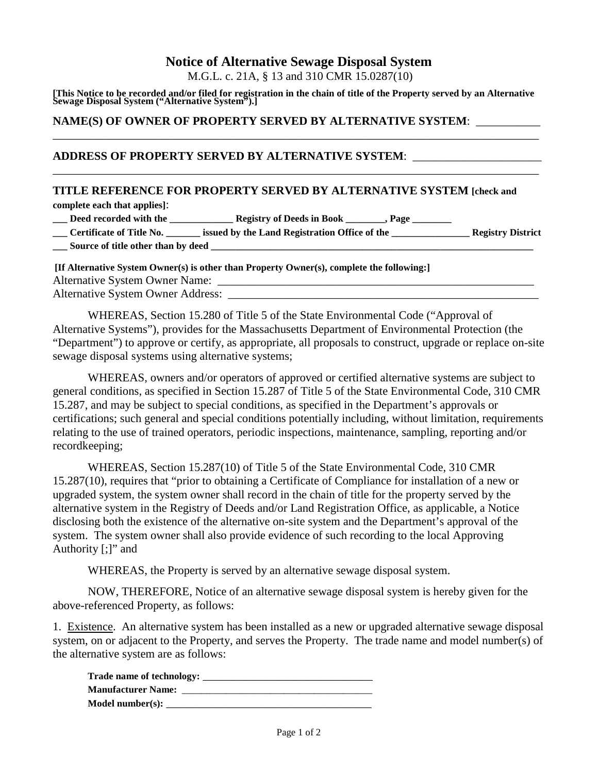# **Notice of Alternative Sewage Disposal System**

M.G.L. c. 21A, § 13 and 310 CMR 15.0287(10)

**[This Notice to be recorded and/or filed for registration in the chain of title of the Property served by an Alternative Sewage Disposal System ("Alternative System").]** 

\_\_\_\_\_\_\_\_\_\_\_\_\_\_\_\_\_\_\_\_\_\_\_\_\_\_\_\_\_\_\_\_\_\_\_\_\_\_\_\_\_\_\_\_\_\_\_\_\_\_\_\_\_\_\_\_\_\_\_\_\_\_\_\_\_\_\_\_\_\_\_\_\_\_\_\_\_\_\_\_\_\_\_

\_\_\_\_\_\_\_\_\_\_\_\_\_\_\_\_\_\_\_\_\_\_\_\_\_\_\_\_\_\_\_\_\_\_\_\_\_\_\_\_\_\_\_\_\_\_\_\_\_\_\_\_\_\_\_\_\_\_\_\_\_\_\_\_\_\_\_\_\_\_\_\_\_\_\_\_\_\_\_\_\_\_\_

#### **NAME(S) OF OWNER OF PROPERTY SERVED BY ALTERNATIVE SYSTEM**: \_\_\_\_\_\_\_\_\_\_\_

#### **ADDRESS OF PROPERTY SERVED BY ALTERNATIVE SYSTEM**: \_\_\_\_\_\_\_\_\_\_\_\_\_\_\_\_\_\_\_\_\_\_

## **TITLE REFERENCE FOR PROPERTY SERVED BY ALTERNATIVE SYSTEM [check and**

**complete each that applies]**:

| Deed recorded with the<br><b>Registry of Deeds in Book</b><br>, Page<br>____ |  |
|------------------------------------------------------------------------------|--|
|------------------------------------------------------------------------------|--|

| _____ | <b>Certificate of Title No.</b> | issued by the Land Registration Office of the |  | <b>Registry District</b> |  |
|-------|---------------------------------|-----------------------------------------------|--|--------------------------|--|
|       |                                 |                                               |  |                          |  |

**\_\_\_\_ Source of title other than by deed** 

| [If Alternative System Owner(s) is other than Property Owner(s), complete the following:] |  |  |  |  |  |
|-------------------------------------------------------------------------------------------|--|--|--|--|--|
| <b>Alternative System Owner Name:</b>                                                     |  |  |  |  |  |
| <b>Alternative System Owner Address:</b>                                                  |  |  |  |  |  |

 WHEREAS, Section 15.280 of Title 5 of the State Environmental Code ("Approval of Alternative Systems"), provides for the Massachusetts Department of Environmental Protection (the "Department") to approve or certify, as appropriate, all proposals to construct, upgrade or replace on-site sewage disposal systems using alternative systems;

 WHEREAS, owners and/or operators of approved or certified alternative systems are subject to general conditions, as specified in Section 15.287 of Title 5 of the State Environmental Code, 310 CMR 15.287, and may be subject to special conditions, as specified in the Department's approvals or certifications; such general and special conditions potentially including, without limitation, requirements relating to the use of trained operators, periodic inspections, maintenance, sampling, reporting and/or recordkeeping;

 WHEREAS, Section 15.287(10) of Title 5 of the State Environmental Code, 310 CMR 15.287(10), requires that "prior to obtaining a Certificate of Compliance for installation of a new or upgraded system, the system owner shall record in the chain of title for the property served by the alternative system in the Registry of Deeds and/or Land Registration Office, as applicable, a Notice disclosing both the existence of the alternative on-site system and the Department's approval of the system. The system owner shall also provide evidence of such recording to the local Approving Authority [;]" and

WHEREAS, the Property is served by an alternative sewage disposal system.

 NOW, THEREFORE, Notice of an alternative sewage disposal system is hereby given for the above-referenced Property, as follows:

1. Existence. An alternative system has been installed as a new or upgraded alternative sewage disposal system, on or adjacent to the Property, and serves the Property. The trade name and model number(s) of the alternative system are as follows:

| Trade name of technology: |  |
|---------------------------|--|
| <b>Manufacturer Name:</b> |  |
| Model number $(s)$ :      |  |